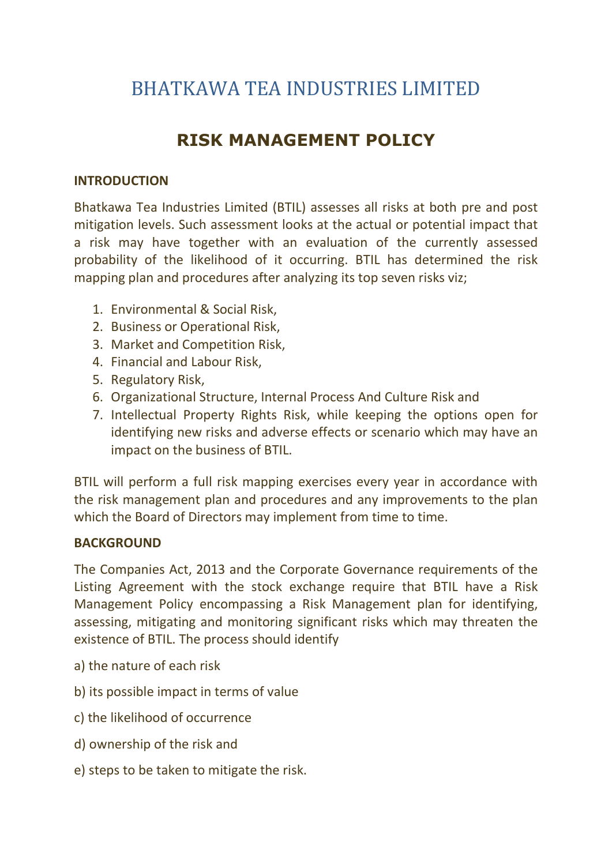# BHATKAWA TEA INDUSTRIES LIMITED

## RISK MANAGEMENT POLICY

#### INTRODUCTION

Bhatkawa Tea Industries Limited (BTIL) assesses all risks at both pre and post mitigation levels. Such assessment looks at the actual or potential impact that a risk may have together with an evaluation of the currently assessed probability of the likelihood of it occurring. BTIL has determined the risk mapping plan and procedures after analyzing its top seven risks viz;

- 1. Environmental & Social Risk,
- 2. Business or Operational Risk,
- 3. Market and Competition Risk,
- 4. Financial and Labour Risk,
- 5. Regulatory Risk,
- 6. Organizational Structure, Internal Process And Culture Risk and
- 7. Intellectual Property Rights Risk, while keeping the options open for identifying new risks and adverse effects or scenario which may have an impact on the business of BTIL.

BTIL will perform a full risk mapping exercises every year in accordance with the risk management plan and procedures and any improvements to the plan which the Board of Directors may implement from time to time.

#### BACKGROUND

The Companies Act, 2013 and the Corporate Governance requirements of the Listing Agreement with the stock exchange require that BTIL have a Risk Management Policy encompassing a Risk Management plan for identifying, assessing, mitigating and monitoring significant risks which may threaten the existence of BTIL. The process should identify

- a) the nature of each risk
- b) its possible impact in terms of value
- c) the likelihood of occurrence
- d) ownership of the risk and
- e) steps to be taken to mitigate the risk.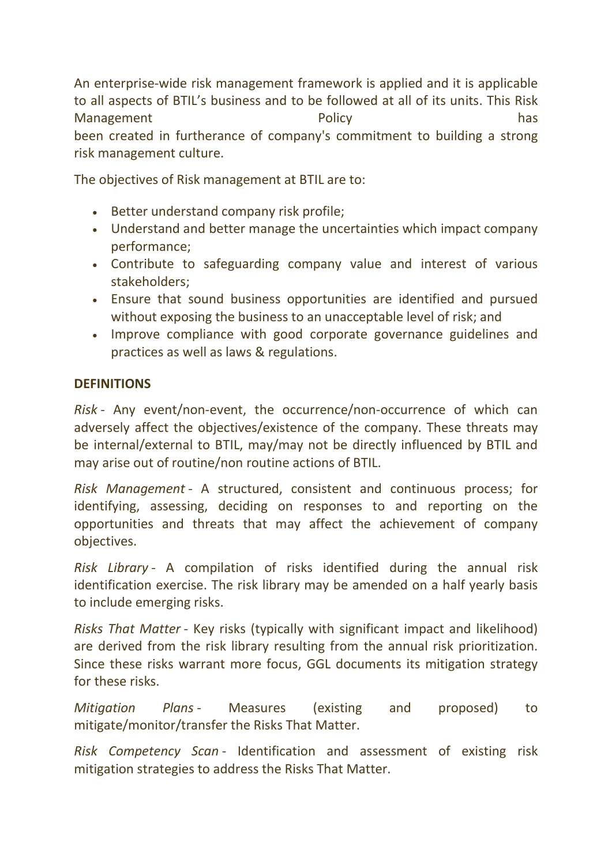An enterprise-wide risk management framework is applied and it is applicable to all aspects of BTIL's business and to be followed at all of its units. This Risk Management **National Management Policy has** been created in furtherance of company's commitment to building a strong risk management culture.

The objectives of Risk management at BTIL are to:

- **Better understand company risk profile;**
- Understand and better manage the uncertainties which impact company performance;
- Contribute to safeguarding company value and interest of various stakeholders;
- Ensure that sound business opportunities are identified and pursued without exposing the business to an unacceptable level of risk; and
- Improve compliance with good corporate governance guidelines and practices as well as laws & regulations.

#### **DEFINITIONS**

Risk - Any event/non-event, the occurrence/non-occurrence of which can adversely affect the objectives/existence of the company. These threats may be internal/external to BTIL, may/may not be directly influenced by BTIL and may arise out of routine/non routine actions of BTIL.

Risk Management - A structured, consistent and continuous process; for identifying, assessing, deciding on responses to and reporting on the opportunities and threats that may affect the achievement of company objectives.

Risk Library - A compilation of risks identified during the annual risk identification exercise. The risk library may be amended on a half yearly basis to include emerging risks.

Risks That Matter - Key risks (typically with significant impact and likelihood) are derived from the risk library resulting from the annual risk prioritization. Since these risks warrant more focus, GGL documents its mitigation strategy for these risks.

Mitigation Plans - Measures (existing and proposed) to mitigate/monitor/transfer the Risks That Matter.

Risk Competency Scan - Identification and assessment of existing risk mitigation strategies to address the Risks That Matter.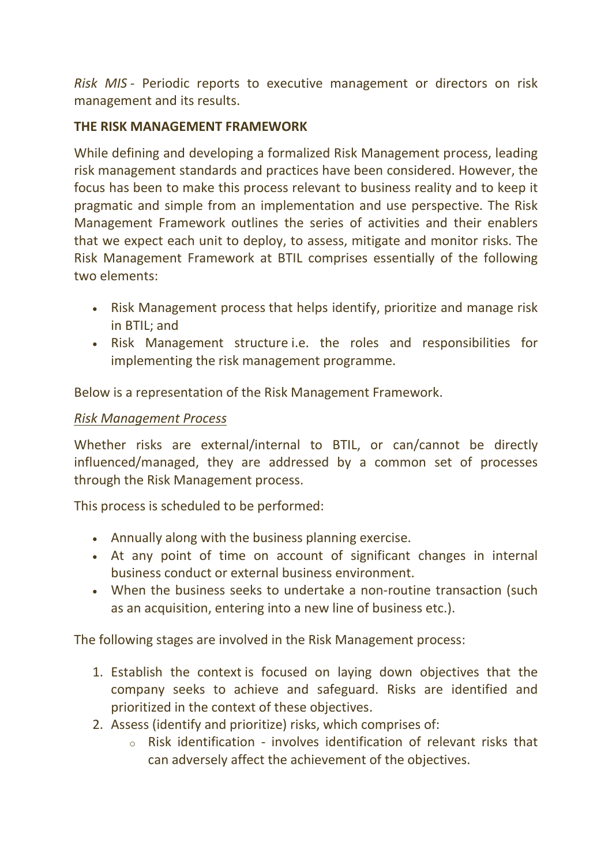Risk MIS - Periodic reports to executive management or directors on risk management and its results.

### THE RISK MANAGEMENT FRAMEWORK

While defining and developing a formalized Risk Management process, leading risk management standards and practices have been considered. However, the focus has been to make this process relevant to business reality and to keep it pragmatic and simple from an implementation and use perspective. The Risk Management Framework outlines the series of activities and their enablers that we expect each unit to deploy, to assess, mitigate and monitor risks. The Risk Management Framework at BTIL comprises essentially of the following two elements:

- Risk Management process that helps identify, prioritize and manage risk in BTIL; and
- Risk Management structure i.e. the roles and responsibilities for implementing the risk management programme.

Below is a representation of the Risk Management Framework.

## Risk Management Process

Whether risks are external/internal to BTIL, or can/cannot be directly influenced/managed, they are addressed by a common set of processes through the Risk Management process.

This process is scheduled to be performed:

- Annually along with the business planning exercise.
- At any point of time on account of significant changes in internal business conduct or external business environment.
- When the business seeks to undertake a non-routine transaction (such as an acquisition, entering into a new line of business etc.).

The following stages are involved in the Risk Management process:

- 1. Establish the context is focused on laying down objectives that the company seeks to achieve and safeguard. Risks are identified and prioritized in the context of these objectives.
- 2. Assess (identify and prioritize) risks, which comprises of:
	- o Risk identification involves identification of relevant risks that can adversely affect the achievement of the objectives.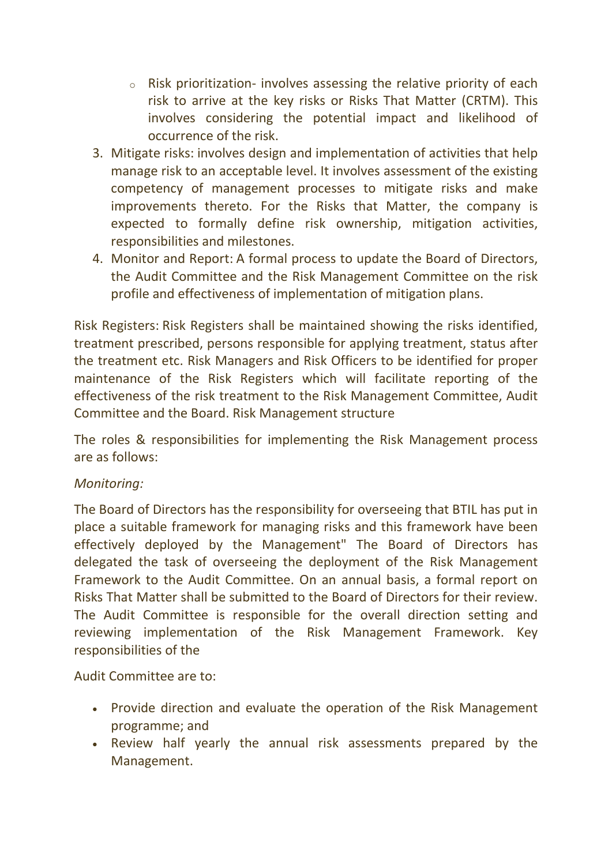- $\circ$  Risk prioritization- involves assessing the relative priority of each risk to arrive at the key risks or Risks That Matter (CRTM). This involves considering the potential impact and likelihood of occurrence of the risk.
- 3. Mitigate risks: involves design and implementation of activities that help manage risk to an acceptable level. It involves assessment of the existing competency of management processes to mitigate risks and make improvements thereto. For the Risks that Matter, the company is expected to formally define risk ownership, mitigation activities, responsibilities and milestones.
- 4. Monitor and Report: A formal process to update the Board of Directors, the Audit Committee and the Risk Management Committee on the risk profile and effectiveness of implementation of mitigation plans.

Risk Registers: Risk Registers shall be maintained showing the risks identified, treatment prescribed, persons responsible for applying treatment, status after the treatment etc. Risk Managers and Risk Officers to be identified for proper maintenance of the Risk Registers which will facilitate reporting of the effectiveness of the risk treatment to the Risk Management Committee, Audit Committee and the Board. Risk Management structure

The roles & responsibilities for implementing the Risk Management process are as follows:

## Monitoring:

The Board of Directors has the responsibility for overseeing that BTIL has put in place a suitable framework for managing risks and this framework have been effectively deployed by the Management" The Board of Directors has delegated the task of overseeing the deployment of the Risk Management Framework to the Audit Committee. On an annual basis, a formal report on Risks That Matter shall be submitted to the Board of Directors for their review. The Audit Committee is responsible for the overall direction setting and reviewing implementation of the Risk Management Framework. Key responsibilities of the

Audit Committee are to:

- Provide direction and evaluate the operation of the Risk Management programme; and
- Review half yearly the annual risk assessments prepared by the Management.